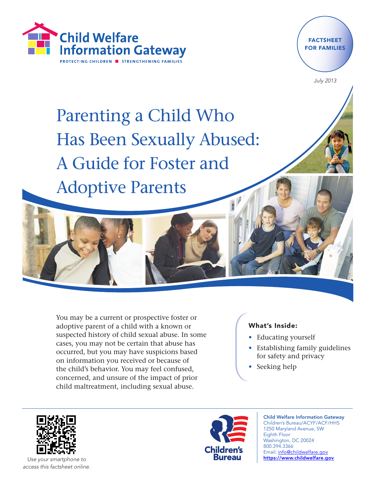



July 2013

# Parenting a Child Who Has Been Sexually Abused: A Guide for Foster and Adoptive Parents

You may be a current or prospective foster or adoptive parent of a child with a known or suspected history of child sexual abuse. In some cases, you may not be certain that abuse has occurred, but you may have suspicions based on information you received or because of the child's behavior. You may feel confused, concerned, and unsure of the impact of prior child maltreatment, including sexual abuse.

#### What's Inside:

- Educating yourself
- Establishing family guidelines for safety and privacy
- Seeking help



Use your smartphone to access this factsheet online.



Child Welfare Information Gateway Children's Bureau/ACYF/ACF/HHS 1250 Maryland Avenue, SW Eighth Floor Washington, DC 20024 800.394.3366 Email: info@childwelfare.gov https://www.childwelfare.gov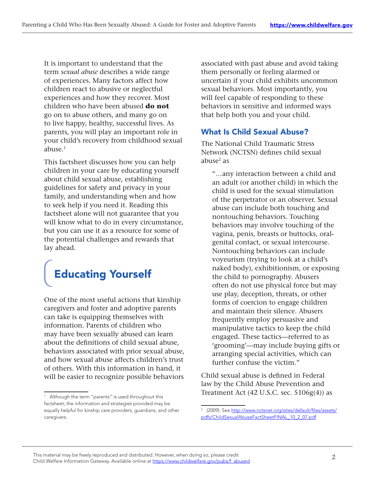It is important to understand that the term *sexual abuse* describes a wide range of experiences. Many factors affect how children react to abusive or neglectful experiences and how they recover. Most children who have been abused **do not** go on to abuse others, and many go on to live happy, healthy, successful lives. As parents, you will play an important role in your child's recovery from childhood sexual abuse.1

This factsheet discusses how you can help children in your care by educating yourself about child sexual abuse, establishing guidelines for safety and privacy in your family, and understanding when and how to seek help if you need it. Reading this factsheet alone will not guarantee that you will know what to do in every circumstance, but you can use it as a resource for some of the potential challenges and rewards that lay ahead.

## Educating Yourself

One of the most useful actions that kinship caregivers and foster and adoptive parents can take is equipping themselves with information. Parents of children who may have been sexually abused can learn about the definitions of child sexual abuse, behaviors associated with prior sexual abuse, and how sexual abuse affects children's trust of others. With this information in hand, it will be easier to recognize possible behaviors

associated with past abuse and avoid taking them personally or feeling alarmed or uncertain if your child exhibits uncommon sexual behaviors. Most importantly, you will feel capable of responding to these behaviors in sensitive and informed ways that help both you and your child.

### What Is Child Sexual Abuse?

The National Child Traumatic Stress Network (NCTSN) defines child sexual abuse2 as

"…any interaction between a child and an adult (or another child) in which the child is used for the sexual stimulation of the perpetrator or an observer. Sexual abuse can include both touching and nontouching behaviors. Touching behaviors may involve touching of the vagina, penis, breasts or buttocks, oralgenital contact, or sexual intercourse. Nontouching behaviors can include voyeurism (trying to look at a child's naked body), exhibitionism, or exposing the child to pornography. Abusers often do not use physical force but may use play, deception, threats, or other forms of coercion to engage children and maintain their silence. Abusers frequently employ persuasive and manipulative tactics to keep the child engaged. These tactics—referred to as 'grooming'—may include buying gifts or arranging special activities, which can further confuse the victim."

Child sexual abuse is defined in Federal law by the Child Abuse Prevention and Treatment Act  $(42 \text{ U.S.C. sec. } 5106g(4))$  as

<sup>&</sup>lt;sup>1</sup> Although the term "parents" is used throughout this factsheet, the information and strategies provided may be equally helpful for kinship care providers, guardians, and other caregivers.

<sup>&</sup>lt;sup>2</sup> (2009). See [http://www.nctsnet.org/sites/default/files/assets/](http://www.nctsnet.org/sites/default/files/assets/pdfs/ChildSexualAbuseFactSheetFINAL_10_2_07.pdf) [pdfs/ChildSexualAbuseFactSheetFINAL\\_10\\_2\\_07.pdf](http://www.nctsnet.org/sites/default/files/assets/pdfs/ChildSexualAbuseFactSheetFINAL_10_2_07.pdf)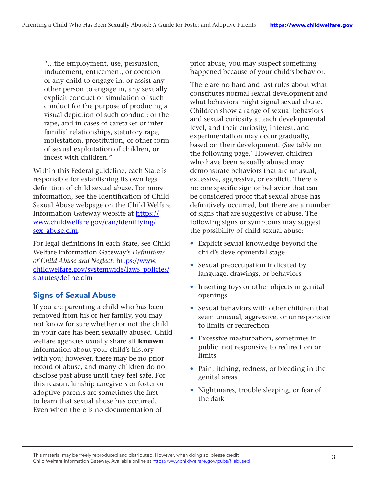"…the employment, use, persuasion, inducement, enticement, or coercion of any child to engage in, or assist any other person to engage in, any sexually explicit conduct or simulation of such conduct for the purpose of producing a visual depiction of such conduct; or the rape, and in cases of caretaker or interfamilial relationships, statutory rape, molestation, prostitution, or other form of sexual exploitation of children, or incest with children."

Within this Federal guideline, each State is responsible for establishing its own legal definition of child sexual abuse. For more information, see the Identification of Child Sexual Abuse webpage on the Child Welfare Information Gateway website at [https://](https://www.childwelfare.gov/can/identifying/sex_abuse.cfm) [www.childwelfare.gov/can/identifying/](https://www.childwelfare.gov/can/identifying/sex_abuse.cfm) [sex\\_abuse.cfm](https://www.childwelfare.gov/can/identifying/sex_abuse.cfm).

For legal definitions in each State, see Child Welfare Information Gateway's *Definitions of Child Abuse and Neglect*: [https://www.](https://www.childwelfare.gov/systemwide/laws_policies/statutes/define.cfm) [childwelfare.gov/systemwide/laws\\_policies/](https://www.childwelfare.gov/systemwide/laws_policies/statutes/define.cfm) [statutes/define.cfm](https://www.childwelfare.gov/systemwide/laws_policies/statutes/define.cfm) 

### Signs of Sexual Abuse

If you are parenting a child who has been removed from his or her family, you may not know for sure whether or not the child in your care has been sexually abused. Child welfare agencies usually share all **known** information about your child's history with you; however, there may be no prior record of abuse, and many children do not disclose past abuse until they feel safe. For this reason, kinship caregivers or foster or adoptive parents are sometimes the first to learn that sexual abuse has occurred. Even when there is no documentation of

prior abuse, you may suspect something happened because of your child's behavior.

There are no hard and fast rules about what constitutes normal sexual development and what behaviors might signal sexual abuse. Children show a range of sexual behaviors and sexual curiosity at each developmental level, and their curiosity, interest, and experimentation may occur gradually, based on their development. (See table on the following page.) However, children who have been sexually abused may demonstrate behaviors that are unusual, excessive, aggressive, or explicit. There is no one specific sign or behavior that can be considered proof that sexual abuse has definitively occurred, but there are a number of signs that are suggestive of abuse. The following signs or symptoms may suggest the possibility of child sexual abuse:

- Explicit sexual knowledge beyond the child's developmental stage
- Sexual preoccupation indicated by language, drawings, or behaviors
- Inserting toys or other objects in genital openings
- Sexual behaviors with other children that seem unusual, aggressive, or unresponsive to limits or redirection
- Excessive masturbation, sometimes in public, not responsive to redirection or limits
- Pain, itching, redness, or bleeding in the genital areas
- Nightmares, trouble sleeping, or fear of the dark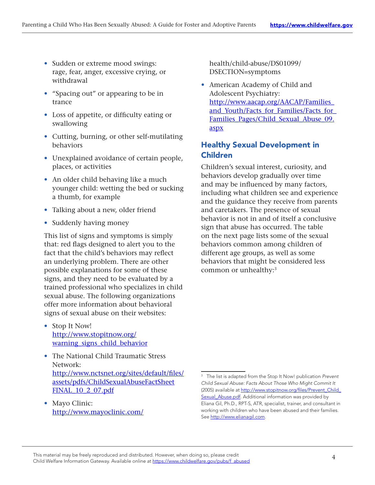- Sudden or extreme mood swings: rage, fear, anger, excessive crying, or withdrawal
- "Spacing out" or appearing to be in trance
- Loss of appetite, or difficulty eating or swallowing
- Cutting, burning, or other self-mutilating behaviors
- Unexplained avoidance of certain people, places, or activities
- An older child behaving like a much younger child: wetting the bed or sucking a thumb, for example
- Talking about a new, older friend
- Suddenly having money

This list of signs and symptoms is simply that: red flags designed to alert you to the fact that the child's behaviors may reflect an underlying problem. There are other possible explanations for some of these signs, and they need to be evaluated by a trained professional who specializes in child sexual abuse. The following organizations offer more information about behavioral signs of sexual abuse on their websites:

- Stop It Now! [http://www.stopitnow.org/](http://www.stopitnow.org/warning_signs_child_behavior) warning signs child behavior
- The National Child Traumatic Stress Network: [http://www.nctsnet.org/sites/default/files/](http://www.nctsnet.org/sites/default/files/assets/pdfs/ChildSexualAbuseFactSheet FINAL_10_2_07.pdf) [assets/pdfs/ChildSexualAbuseFactSheet](http://www.nctsnet.org/sites/default/files/assets/pdfs/ChildSexualAbuseFactSheet FINAL_10_2_07.pdf)  [FINAL\\_10\\_2\\_07.pdf](http://www.nctsnet.org/sites/default/files/assets/pdfs/ChildSexualAbuseFactSheet FINAL_10_2_07.pdf)
- Mayo Clinic: <http://www.mayoclinic.com/>

health/child-abuse/DS01099/ DSECTION=symptoms

• American Academy of Child and Adolescent Psychiatry: [http://www.aacap.org/AACAP/Families\\_](http://www.aacap.org/AACAP/Families_and_Youth/Facts_for_Families/Facts_for_Families_Pages/Child_Sexual_Abuse_09.aspx) and Youth/Facts for Families/Facts for [Families\\_Pages/Child\\_Sexual\\_Abuse\\_09.](http://www.aacap.org/AACAP/Families_and_Youth/Facts_for_Families/Facts_for_Families_Pages/Child_Sexual_Abuse_09.aspx) [aspx](http://www.aacap.org/AACAP/Families_and_Youth/Facts_for_Families/Facts_for_Families_Pages/Child_Sexual_Abuse_09.aspx)

### Healthy Sexual Development in Children

Children's sexual interest, curiosity, and behaviors develop gradually over time and may be influenced by many factors, including what children see and experience and the guidance they receive from parents and caretakers. The presence of sexual behavior is not in and of itself a conclusive sign that abuse has occurred. The table on the next page lists some of the sexual behaviors common among children of different age groups, as well as some behaviors that might be considered less common or unhealthy:<sup>3</sup>

<sup>&</sup>lt;sup>3</sup> The list is adapted from the Stop It Now! publication Prevent Child Sexual Abuse: Facts About Those Who Might Commit It (2005) available at [http://www.stopitnow.org/files/Prevent\\_Child\\_](http://www.stopitnow.org/files/Prevent_Child_Sexual_Abuse.pdf) [Sexual\\_Abuse.pdf.](http://www.stopitnow.org/files/Prevent_Child_Sexual_Abuse.pdf) Additional information was provided by Eliana Gil, Ph.D., RPT-S, ATR, specialist, trainer, and consultant in working with children who have been abused and their families. See <http://www.elianagil.com>.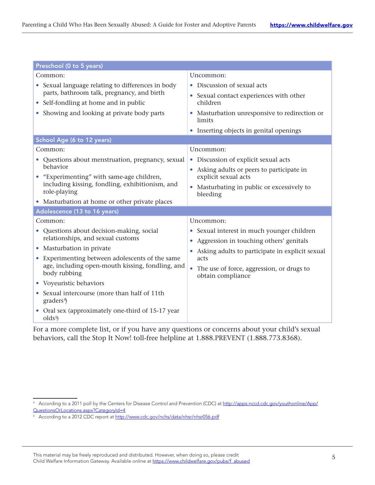| Preschool (0 to 5 years)                                               |                                                                |
|------------------------------------------------------------------------|----------------------------------------------------------------|
| Common:                                                                | Uncommon:                                                      |
| • Sexual language relating to differences in body                      | Discussion of sexual acts<br>$\bullet$                         |
| parts, bathroom talk, pregnancy, and birth                             | Sexual contact experiences with other                          |
| • Self-fondling at home and in public                                  | children                                                       |
| • Showing and looking at private body parts                            | Masturbation unresponsive to redirection or<br>limits          |
|                                                                        | Inserting objects in genital openings<br>$\bullet$             |
| School Age (6 to 12 years)                                             |                                                                |
| Common:                                                                | Uncommon:                                                      |
| • Questions about menstruation, pregnancy, sexual                      | Discussion of explicit sexual acts<br>$\bullet$                |
| behavior                                                               | Asking adults or peers to participate in                       |
| • "Experimenting" with same-age children,                              | explicit sexual acts                                           |
| including kissing, fondling, exhibitionism, and<br>role-playing        | Masturbating in public or excessively to<br>$\bullet$          |
| • Masturbation at home or other private places                         | bleeding                                                       |
| Adolescence (13 to 16 years)                                           |                                                                |
| Common:                                                                | Uncommon:                                                      |
| • Questions about decision-making, social                              | Sexual interest in much younger children<br>۰                  |
| relationships, and sexual customs                                      | Aggression in touching others' genitals                        |
| • Masturbation in private                                              | Asking adults to participate in explicit sexual                |
| • Experimenting between adolescents of the same                        | acts                                                           |
| age, including open-mouth kissing, fondling, and<br>body rubbing       | The use of force, aggression, or drugs to<br>obtain compliance |
| • Voyeuristic behaviors                                                |                                                                |
| • Sexual intercourse (more than half of 11th<br>graders <sup>4</sup> ) |                                                                |
| • Oral sex (approximately one-third of 15-17 year<br>olds <sup>5</sup> |                                                                |

For a more complete list, or if you have any questions or concerns about your child's sexual behaviors, call the Stop It Now! toll-free helpline at 1.888.PREVENT (1.888.773.8368).

<sup>4</sup> According to a 2011 poll by the Centers for Disease Control and Prevention (CDC) at [http://apps.nccd.cdc.gov/youthonline/App/](http://apps.nccd.cdc.gov/youthonline/App/QuestionsOrLocations.aspx?CategoryId=4) [QuestionsOrLocations.aspx?CategoryId=4](http://apps.nccd.cdc.gov/youthonline/App/QuestionsOrLocations.aspx?CategoryId=4)

<sup>5</sup> According to a 2012 CDC report at<http://www.cdc.gov/nchs/data/nhsr/nhsr056.pdf>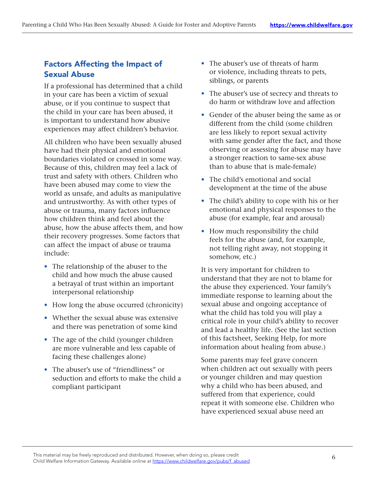### Factors Affecting the Impact of Sexual Abuse

If a professional has determined that a child in your care has been a victim of sexual abuse, or if you continue to suspect that the child in your care has been abused, it is important to understand how abusive experiences may affect children's behavior.

All children who have been sexually abused have had their physical and emotional boundaries violated or crossed in some way. Because of this, children may feel a lack of trust and safety with others. Children who have been abused may come to view the world as unsafe, and adults as manipulative and untrustworthy. As with other types of abuse or trauma, many factors influence how children think and feel about the abuse, how the abuse affects them, and how their recovery progresses. Some factors that can affect the impact of abuse or trauma include:

- The relationship of the abuser to the child and how much the abuse caused a betrayal of trust within an important interpersonal relationship
- How long the abuse occurred (chronicity)
- Whether the sexual abuse was extensive and there was penetration of some kind
- The age of the child (younger children are more vulnerable and less capable of facing these challenges alone)
- The abuser's use of "friendliness" or seduction and efforts to make the child a compliant participant
- The abuser's use of threats of harm or violence, including threats to pets, siblings, or parents
- The abuser's use of secrecy and threats to do harm or withdraw love and affection
- Gender of the abuser being the same as or different from the child (some children are less likely to report sexual activity with same gender after the fact, and those observing or assessing for abuse may have a stronger reaction to same-sex abuse than to abuse that is male-female)
- The child's emotional and social development at the time of the abuse
- The child's ability to cope with his or her emotional and physical responses to the abuse (for example, fear and arousal)
- How much responsibility the child feels for the abuse (and, for example, not telling right away, not stopping it somehow, etc.)

It is very important for children to understand that they are not to blame for the abuse they experienced. Your family's immediate response to learning about the sexual abuse and ongoing acceptance of what the child has told you will play a critical role in your child's ability to recover and lead a healthy life. (See the last section of this factsheet, Seeking Help, for more information about healing from abuse.)

Some parents may feel grave concern when children act out sexually with peers or younger children and may question why a child who has been abused, and suffered from that experience, could repeat it with someone else. Children who have experienced sexual abuse need an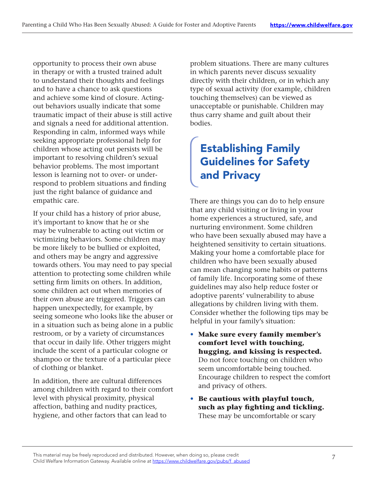opportunity to process their own abuse in therapy or with a trusted trained adult to understand their thoughts and feelings and to have a chance to ask questions and achieve some kind of closure. Actingout behaviors usually indicate that some traumatic impact of their abuse is still active and signals a need for additional attention. Responding in calm, informed ways while seeking appropriate professional help for children whose acting out persists will be important to resolving children's sexual behavior problems. The most important lesson is learning not to over- or underrespond to problem situations and finding just the right balance of guidance and empathic care.

If your child has a history of prior abuse, it's important to know that he or she may be vulnerable to acting out victim or victimizing behaviors. Some children may be more likely to be bullied or exploited, and others may be angry and aggressive towards others. You may need to pay special attention to protecting some children while setting firm limits on others. In addition, some children act out when memories of their own abuse are triggered. Triggers can happen unexpectedly, for example, by seeing someone who looks like the abuser or in a situation such as being alone in a public restroom, or by a variety of circumstances that occur in daily life. Other triggers might include the scent of a particular cologne or shampoo or the texture of a particular piece of clothing or blanket.

In addition, there are cultural differences among children with regard to their comfort level with physical proximity, physical affection, bathing and nudity practices, hygiene, and other factors that can lead to

problem situations. There are many cultures in which parents never discuss sexuality directly with their children, or in which any type of sexual activity (for example, children touching themselves) can be viewed as unacceptable or punishable. Children may thus carry shame and guilt about their bodies.

### Establishing Family Guidelines for Safety and Privacy

There are things you can do to help ensure that any child visiting or living in your home experiences a structured, safe, and nurturing environment. Some children who have been sexually abused may have a heightened sensitivity to certain situations. Making your home a comfortable place for children who have been sexually abused can mean changing some habits or patterns of family life. Incorporating some of these guidelines may also help reduce foster or adoptive parents' vulnerability to abuse allegations by children living with them. Consider whether the following tips may be helpful in your family's situation:

- **• Make sure every family member's comfort level with touching, hugging, and kissing is respected.** Do not force touching on children who seem uncomfortable being touched. Encourage children to respect the comfort and privacy of others.
- **• Be cautious with playful touch, such as play fighting and tickling.** These may be uncomfortable or scary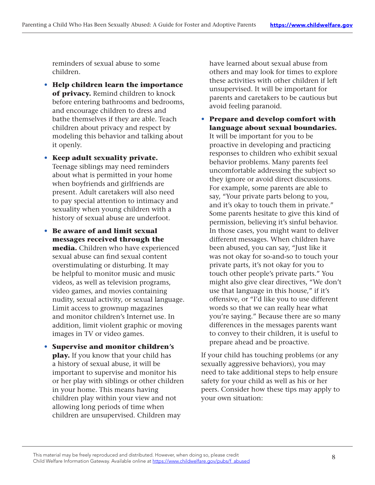reminders of sexual abuse to some children.

- **Help children learn the importance of privacy.** Remind children to knock before entering bathrooms and bedrooms, and encourage children to dress and bathe themselves if they are able. Teach children about privacy and respect by modeling this behavior and talking about it openly.
- **Keep adult sexuality private.** Teenage siblings may need reminders about what is permitted in your home when boyfriends and girlfriends are present. Adult caretakers will also need to pay special attention to intimacy and sexuality when young children with a history of sexual abuse are underfoot.
- **Be aware of and limit sexual messages received through the media.** Children who have experienced sexual abuse can find sexual content overstimulating or disturbing. It may be helpful to monitor music and music videos, as well as television programs, video games, and movies containing nudity, sexual activity, or sexual language. Limit access to grownup magazines and monitor children's Internet use. In addition, limit violent graphic or moving images in TV or video games.
- **Supervise and monitor children's play.** If you know that your child has a history of sexual abuse, it will be important to supervise and monitor his or her play with siblings or other children in your home. This means having children play within your view and not allowing long periods of time when children are unsupervised. Children may

have learned about sexual abuse from others and may look for times to explore these activities with other children if left unsupervised. It will be important for parents and caretakers to be cautious but avoid feeling paranoid.

**• Prepare and develop comfort with language about sexual boundaries.** 

It will be important for you to be proactive in developing and practicing responses to children who exhibit sexual behavior problems. Many parents feel uncomfortable addressing the subject so they ignore or avoid direct discussions. For example, some parents are able to say, "Your private parts belong to you, and it's okay to touch them in private." Some parents hesitate to give this kind of permission, believing it's sinful behavior. In those cases, you might want to deliver different messages. When children have been abused, you can say, "Just like it was not okay for so-and-so to touch your private parts, it's not okay for you to touch other people's private parts." You might also give clear directives, "We don't use that language in this house," if it's offensive, or "I'd like you to use different words so that we can really hear what you're saying." Because there are so many differences in the messages parents want to convey to their children, it is useful to prepare ahead and be proactive.

If your child has touching problems (or any sexually aggressive behaviors), you may need to take additional steps to help ensure safety for your child as well as his or her peers. Consider how these tips may apply to your own situation: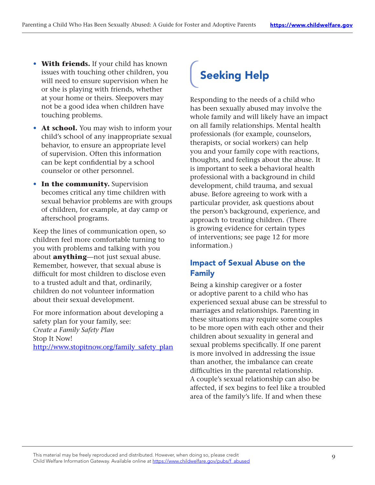- **• With friends.** If your child has known issues with touching other children, you will need to ensure supervision when he or she is playing with friends, whether at your home or theirs. Sleepovers may not be a good idea when children have touching problems.
- **At school.** You may wish to inform your child's school of any inappropriate sexual behavior, to ensure an appropriate level of supervision. Often this information can be kept confidential by a school counselor or other personnel.
- **• In the community.** Supervision becomes critical any time children with sexual behavior problems are with groups of children, for example, at day camp or afterschool programs.

Keep the lines of communication open, so children feel more comfortable turning to you with problems and talking with you about **anything**—not just sexual abuse. Remember, however, that sexual abuse is difficult for most children to disclose even to a trusted adult and that, ordinarily, children do not volunteer information about their sexual development.

For more information about developing a safety plan for your family, see: *Create a Family Safety Plan* Stop It Now! [http://www.stopitnow.org/family\\_safety\\_plan](http://www.stopitnow.org/family_safety_plan)

### Seeking Help

Responding to the needs of a child who has been sexually abused may involve the whole family and will likely have an impact on all family relationships. Mental health professionals (for example, counselors, therapists, or social workers) can help you and your family cope with reactions, thoughts, and feelings about the abuse. It is important to seek a behavioral health professional with a background in child development, child trauma, and sexual abuse. Before agreeing to work with a particular provider, ask questions about the person's background, experience, and approach to treating children. (There is growing evidence for certain types of interventions; see page 12 for more information.)

### Impact of Sexual Abuse on the Family

Being a kinship caregiver or a foster or adoptive parent to a child who has experienced sexual abuse can be stressful to marriages and relationships. Parenting in these situations may require some couples to be more open with each other and their children about sexuality in general and sexual problems specifically. If one parent is more involved in addressing the issue than another, the imbalance can create difficulties in the parental relationship. A couple's sexual relationship can also be affected, if sex begins to feel like a troubled area of the family's life. If and when these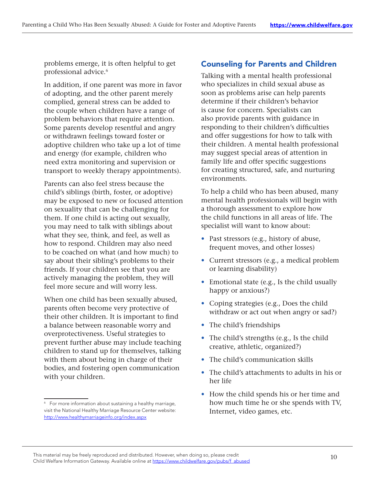problems emerge, it is often helpful to get professional advice.<sup>6</sup>

In addition, if one parent was more in favor of adopting, and the other parent merely complied, general stress can be added to the couple when children have a range of problem behaviors that require attention. Some parents develop resentful and angry or withdrawn feelings toward foster or adoptive children who take up a lot of time and energy (for example, children who need extra monitoring and supervision or transport to weekly therapy appointments).

Parents can also feel stress because the child's siblings (birth, foster, or adoptive) may be exposed to new or focused attention on sexuality that can be challenging for them. If one child is acting out sexually, you may need to talk with siblings about what they see, think, and feel, as well as how to respond. Children may also need to be coached on what (and how much) to say about their sibling's problems to their friends. If your children see that you are actively managing the problem, they will feel more secure and will worry less.

When one child has been sexually abused, parents often become very protective of their other children. It is important to find a balance between reasonable worry and overprotectiveness. Useful strategies to prevent further abuse may include teaching children to stand up for themselves, talking with them about being in charge of their bodies, and fostering open communication with your children.

### Counseling for Parents and Children

Talking with a mental health professional who specializes in child sexual abuse as soon as problems arise can help parents determine if their children's behavior is cause for concern. Specialists can also provide parents with guidance in responding to their children's difficulties and offer suggestions for how to talk with their children. A mental health professional may suggest special areas of attention in family life and offer specific suggestions for creating structured, safe, and nurturing environments.

To help a child who has been abused, many mental health professionals will begin with a thorough assessment to explore how the child functions in all areas of life. The specialist will want to know about:

- Past stressors (e.g., history of abuse, frequent moves, and other losses)
- Current stressors (e.g., a medical problem or learning disability)
- Emotional state (e.g., Is the child usually happy or anxious?)
- Coping strategies (e.g., Does the child withdraw or act out when angry or sad?)
- The child's friendships
- The child's strengths (e.g., Is the child creative, athletic, organized?)
- The child's communication skills
- The child's attachments to adults in his or her life
- How the child spends his or her time and how much time he or she spends with TV, Internet, video games, etc.

<sup>6</sup> For more information about sustaining a healthy marriage, visit the National Healthy Marriage Resource Center website: <http://www.healthymarriageinfo.org/index.aspx>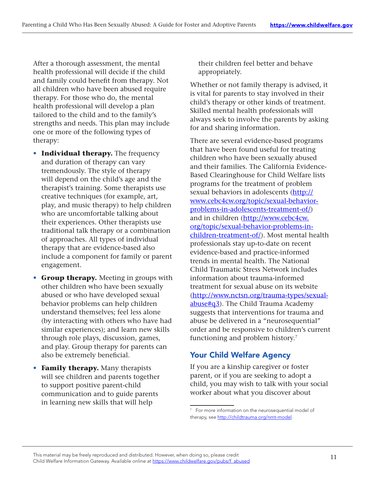After a thorough assessment, the mental health professional will decide if the child and family could benefit from therapy. Not all children who have been abused require therapy. For those who do, the mental health professional will develop a plan tailored to the child and to the family's strengths and needs. This plan may include one or more of the following types of therapy:

- **Individual therapy.** The frequency and duration of therapy can vary tremendously. The style of therapy will depend on the child's age and the therapist's training. Some therapists use creative techniques (for example, art, play, and music therapy) to help children who are uncomfortable talking about their experiences. Other therapists use traditional talk therapy or a combination of approaches. All types of individual therapy that are evidence-based also include a component for family or parent engagement.
- **Group therapy.** Meeting in groups with other children who have been sexually abused or who have developed sexual behavior problems can help children understand themselves; feel less alone (by interacting with others who have had similar experiences); and learn new skills through role plays, discussion, games, and play. Group therapy for parents can also be extremely beneficial.
- **Family therapy.** Many therapists will see children and parents together to support positive parent-child communication and to guide parents in learning new skills that will help

their children feel better and behave appropriately.

Whether or not family therapy is advised, it is vital for parents to stay involved in their child's therapy or other kinds of treatment. Skilled mental health professionals will always seek to involve the parents by asking for and sharing information.

There are several evidence-based programs that have been found useful for treating children who have been sexually abused and their families. The California Evidence-Based Clearinghouse for Child Welfare lists programs for the treatment of problem sexual behaviors in adolescents ([http://](http://www.cebc4cw.org/topic/sexual-behavior-problems-in-adolescents-treatment-of/) [www.cebc4cw.org/topic/sexual-behavior](http://www.cebc4cw.org/topic/sexual-behavior-problems-in-adolescents-treatment-of/)[problems-in-adolescents-treatment-of/](http://www.cebc4cw.org/topic/sexual-behavior-problems-in-adolescents-treatment-of/)) and in children ([http://www.cebc4cw.](http://www.cebc4cw.org/topic/sexual-behavior-problems-in-children-treatment-of/) [org/topic/sexual-behavior-problems-in](http://www.cebc4cw.org/topic/sexual-behavior-problems-in-children-treatment-of/)[children-treatment-of/\)](http://www.cebc4cw.org/topic/sexual-behavior-problems-in-children-treatment-of/). Most mental health professionals stay up-to-date on recent evidence-based and practice-informed trends in mental health. The National Child Traumatic Stress Network includes information about trauma-informed treatment for sexual abuse on its website [\(http://www.nctsn.org/trauma-types/sexual](http://www.nctsn.org/trauma-types/sexual-abuse#q3)[abuse#q3\)](http://www.nctsn.org/trauma-types/sexual-abuse#q3). The Child Trauma Academy suggests that interventions for trauma and abuse be delivered in a "neurosequential" order and be responsive to children's current functioning and problem history.7

### Your Child Welfare Agency

If you are a kinship caregiver or foster parent, or if you are seeking to adopt a child, you may wish to talk with your social worker about what you discover about

<sup>&</sup>lt;sup>7</sup> For more information on the neurosequential model of therapy, see<http://childtrauma.org/nmt-model>.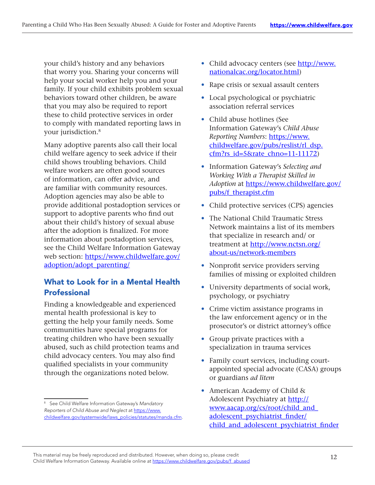your child's history and any behaviors that worry you. Sharing your concerns will help your social worker help you and your family. If your child exhibits problem sexual behaviors toward other children, be aware that you may also be required to report these to child protective services in order to comply with mandated reporting laws in your jurisdiction.<sup>8</sup>

Many adoptive parents also call their local child welfare agency to seek advice if their child shows troubling behaviors. Child welfare workers are often good sources of information, can offer advice, and are familiar with community resources. Adoption agencies may also be able to provide additional postadoption services or support to adoptive parents who find out about their child's history of sexual abuse after the adoption is finalized. For more information about postadoption services, see the Child Welfare Information Gateway web section: [https://www.childwelfare.gov/](https://www.childwelfare.gov/adoption/adopt_parenting/) [adoption/adopt\\_parenting/](https://www.childwelfare.gov/adoption/adopt_parenting/)

### What to Look for in a Mental Health **Professional**

Finding a knowledgeable and experienced mental health professional is key to getting the help your family needs. Some communities have special programs for treating children who have been sexually abused, such as child protection teams and child advocacy centers. You may also find qualified specialists in your community through the organizations noted below.

- Child advocacy centers (see [http://www.](http://www.nationalcac.org/locator.html) [nationalcac.org/locator.html\)](http://www.nationalcac.org/locator.html)
- Rape crisis or sexual assault centers
- Local psychological or psychiatric association referral services
- Child abuse hotlines (See Information Gateway's *Child Abuse Reporting Numbers*: [https://www.](https://www.childwelfare.gov/pubs/reslist/rl_dsp.cfm?rs_id=5&rate_chno=11-11172) [childwelfare.gov/pubs/reslist/rl\\_dsp.](https://www.childwelfare.gov/pubs/reslist/rl_dsp.cfm?rs_id=5&rate_chno=11-11172) cfm?rs  $id=5$ &rate chno=11-11172)
- Information Gateway's *Selecting and Working With a Therapist Skilled in Adoption* at [https://www.childwelfare.gov/](https://www.childwelfare.gov/pubs/f_therapist.cfm) [pubs/f\\_therapist.cfm](https://www.childwelfare.gov/pubs/f_therapist.cfm)
- Child protective services (CPS) agencies
- The National Child Traumatic Stress Network maintains a list of its members that specialize in research and/ or treatment at [http://www.nctsn.org/](http://www.nctsn.org/about-us/network-members) [about-us/network-members](http://www.nctsn.org/about-us/network-members)
- Nonprofit service providers serving families of missing or exploited children
- University departments of social work, psychology, or psychiatry
- Crime victim assistance programs in the law enforcement agency or in the prosecutor's or district attorney's office
- Group private practices with a specialization in trauma services
- Family court services, including courtappointed special advocate (CASA) groups or guardians *ad litem*
- American Academy of Child & Adolescent Psychiatry at [http://](http://www.aacap.org/cs/root/child_and_adolescent_psychiatrist_finder/child_and_adolescent_psychiatrist_finder) [www.aacap.org/cs/root/child\\_and\\_](http://www.aacap.org/cs/root/child_and_adolescent_psychiatrist_finder/child_and_adolescent_psychiatrist_finder) [adolescent\\_psychiatrist\\_finder/](http://www.aacap.org/cs/root/child_and_adolescent_psychiatrist_finder/child_and_adolescent_psychiatrist_finder) [child\\_and\\_adolescent\\_psychiatrist\\_finder](http://www.aacap.org/cs/root/child_and_adolescent_psychiatrist_finder/child_and_adolescent_psychiatrist_finder)

<sup>&</sup>lt;sup>8</sup> See Child Welfare Information Gateway's Mandatory Reporters of Child Abuse and Neglect at [https://www.](https://www.childwelfare.gov/systemwide/laws_policies/statutes/manda.cfm) [childwelfare.gov/systemwide/laws\\_policies/statutes/manda.cfm.](https://www.childwelfare.gov/systemwide/laws_policies/statutes/manda.cfm)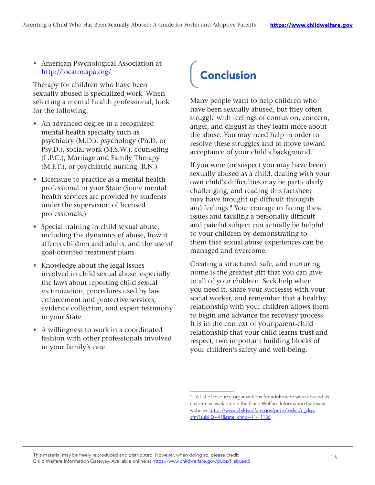• American Psychological Association at <http://locator.apa.org/>

Therapy for children who have been sexually abused is specialized work. When selecting a mental health professional, look for the following:

- An advanced degree in a recognized mental health specialty such as psychiatry (M.D.), psychology (Ph.D. or Psy.D.), social work (M.S.W.), counseling (L.P.C.), Marriage and Family Therapy (M.F.T.), or psychiatric nursing (R.N.)
- Licensure to practice as a mental health professional in your State (Some mental health services are provided by students under the supervision of licensed professionals.)
- Special training in child sexual abuse, including the dynamics of abuse, how it affects children and adults, and the use of goal-oriented treatment plans
- Knowledge about the legal issues involved in child sexual abuse, especially the laws about reporting child sexual victimization, procedures used by law enforcement and protective services, evidence collection, and expert testimony in your State
- A willingness to work in a coordinated fashion with other professionals involved in your family's care

### **Conclusion**

Many people want to help children who have been sexually abused, but they often struggle with feelings of confusion, concern, anger, and disgust as they learn more about the abuse. You may need help in order to resolve these struggles and to move toward acceptance of your child's background.

If you were (or suspect you may have been) sexually abused as a child, dealing with your own child's difficulties may be particularly challenging, and reading this factsheet may have brought up difficult thoughts and feelings.<sup>9</sup> Your courage in facing these issues and tackling a personally difficult and painful subject can actually be helpful to your children by demonstrating to them that sexual abuse experiences can be managed and overcome.

Creating a structured, safe, and nurturing home is the greatest gift that you can give to all of your children. Seek help when you need it, share your successes with your social worker, and remember that a healthy relationship with your children allows them to begin and advance the recovery process. It is in the context of your parent-child relationship that your child learns trust and respect, two important building blocks of your children's safety and well-being.

<sup>9</sup> A list of resource organizations for adults who were abused as children is available on the Child Welfare Information Gateway website: [https://www.childwelfare.gov/pubs/reslist/rl\\_dsp.](https://www.childwelfare.gov/pubs/reslist/rl_dsp.cfm?subjID=41&rate_chno=11-11136) [cfm?subjID=41&rate\\_chno=11-11136.](https://www.childwelfare.gov/pubs/reslist/rl_dsp.cfm?subjID=41&rate_chno=11-11136)